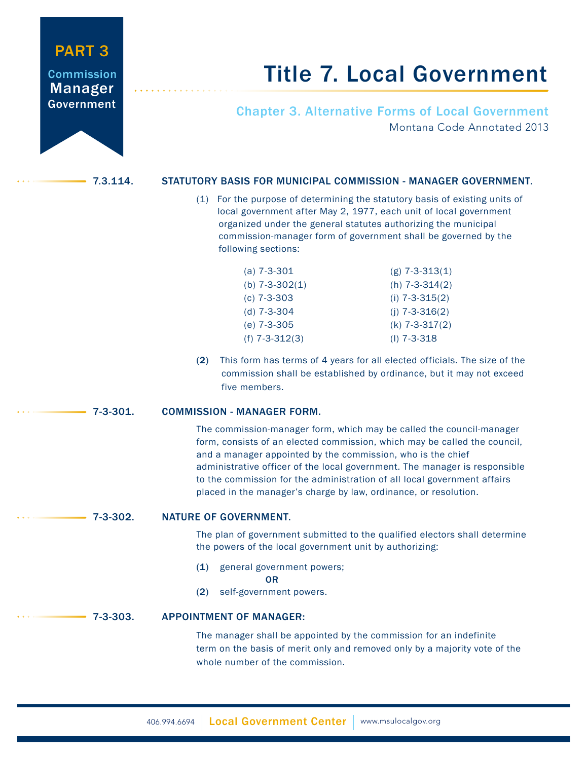# PART 3

**Commission** Manager Government

# Title 7. Local Government

# Chapter 3. Alternative Forms of Local Government Montana Code Annotated 2013

## 7.3.114. STATUTORY BASIS FOR MUNICIPAL COMMISSION - MANAGER GOVERNMENT.

 (1) For the purpose of determining the statutory basis of existing units of local government after May 2, 1977, each unit of local government organized under the general statutes authorizing the municipal commission-manager form of government shall be governed by the following sections:

| (a) $7 - 3 - 301$ | $(g)$ 7-3-313(1)     |
|-------------------|----------------------|
| (b) $7-3-302(1)$  | $(h)$ 7-3-314(2)     |
| $(c)$ 7-3-303     | (i) $7 - 3 - 315(2)$ |
| (d) $7 - 3 - 304$ | (i) $7 - 3 - 316(2)$ |
| $(e)$ 7-3-305     | $(k)$ 7-3-317(2)     |
| $(f)$ 7-3-312(3)  | $(I)$ 7-3-318        |

 (2) This form has terms of 4 years for all elected officials. The size of the commission shall be established by ordinance, but it may not exceed five members.

# 7-3-301. COMMISSION - MANAGER FORM.

 The commission-manager form, which may be called the council-manager form, consists of an elected commission, which may be called the council, and a manager appointed by the commission, who is the chief administrative officer of the local government. The manager is responsible to the commission for the administration of all local government affairs placed in the manager's charge by law, ordinance, or resolution.

## 7-3-302. NATURE OF GOVERNMENT.

 The plan of government submitted to the qualified electors shall determine the powers of the local government unit by authorizing:

(1) general government powers;

**OR** Service of the Service of the Service of the Service of the Service of the Service of the Service of the Service of the Service of the Service of the Service of the Service of the Service of the Service of the Service

(2) self-government powers.

#### 7-3-303. APPOINTMENT OF MANAGER:

 The manager shall be appointed by the commission for an indefinite term on the basis of merit only and removed only by a majority vote of the whole number of the commission.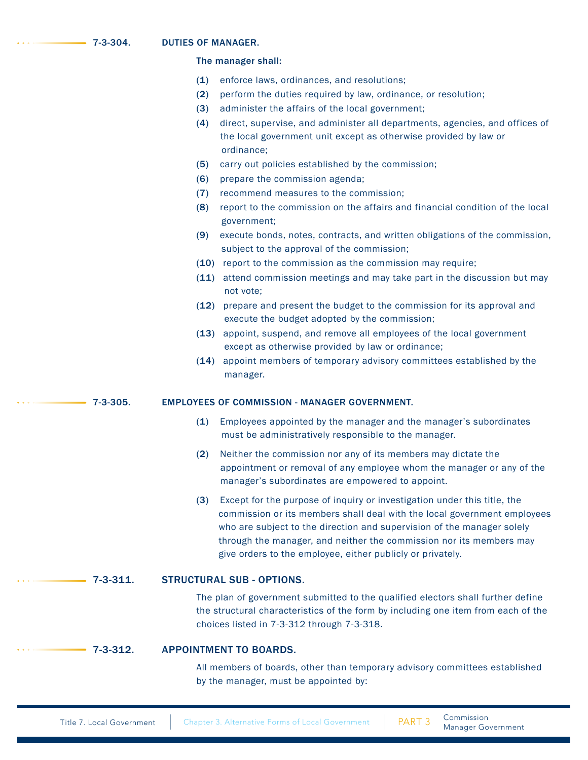7-3-304. DUTIES OF MANAGER.

#### The manager shall:

- (1) enforce laws, ordinances, and resolutions;
- (2) perform the duties required by law, ordinance, or resolution;
- (3) administer the affairs of the local government;
- (4) direct, supervise, and administer all departments, agencies, and offices of the local government unit except as otherwise provided by law or ordinance;
- (5) carry out policies established by the commission;
- (6) prepare the commission agenda;
- (7) recommend measures to the commission;
- (8) report to the commission on the affairs and financial condition of the local government;
- (9) execute bonds, notes, contracts, and written obligations of the commission, subject to the approval of the commission;
- (10) report to the commission as the commission may require;
- (11) attend commission meetings and may take part in the discussion but may not vote;
- (12) prepare and present the budget to the commission for its approval and execute the budget adopted by the commission;
- (13) appoint, suspend, and remove all employees of the local government except as otherwise provided by law or ordinance;
- (14) appoint members of temporary advisory committees established by the manager.

#### 7-3-305. EMPLOYEES OF COMMISSION - MANAGER GOVERNMENT.

- (1) Employees appointed by the manager and the manager's subordinates must be administratively responsible to the manager.
- (2) Neither the commission nor any of its members may dictate the appointment or removal of any employee whom the manager or any of the manager's subordinates are empowered to appoint.
- (3) Except for the purpose of inquiry or investigation under this title, the commission or its members shall deal with the local government employees who are subject to the direction and supervision of the manager solely through the manager, and neither the commission nor its members may give orders to the employee, either publicly or privately.

#### 7-3-311. STRUCTURAL SUB - OPTIONS.

 The plan of government submitted to the qualified electors shall further define the structural characteristics of the form by including one item from each of the choices listed in 7-3-312 through 7-3-318.

#### 7-3-312. APPOINTMENT TO BOARDS.

 All members of boards, other than temporary advisory committees established by the manager, must be appointed by: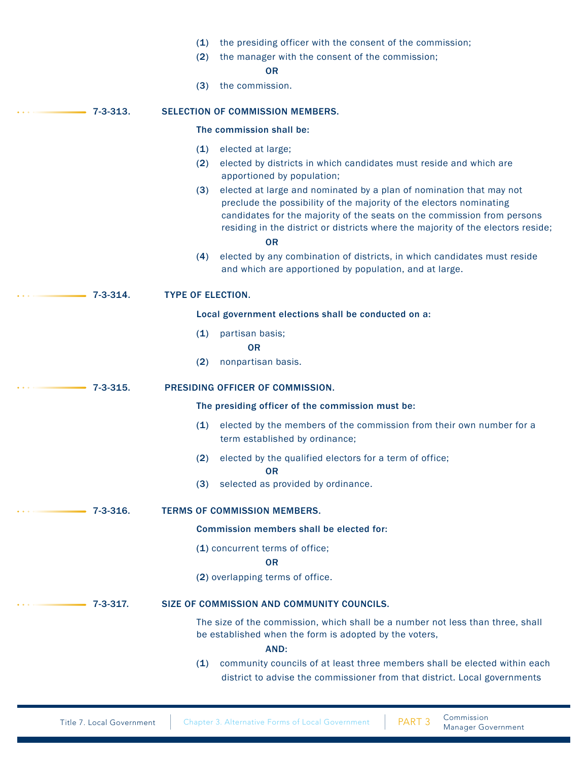|                                                           | (1)                                              | the presiding officer with the consent of the commission;                                                                                                                                                                                                                                                              |  |
|-----------------------------------------------------------|--------------------------------------------------|------------------------------------------------------------------------------------------------------------------------------------------------------------------------------------------------------------------------------------------------------------------------------------------------------------------------|--|
|                                                           | (2)                                              | the manager with the consent of the commission;                                                                                                                                                                                                                                                                        |  |
|                                                           | (3)                                              | <b>OR</b><br>the commission.                                                                                                                                                                                                                                                                                           |  |
|                                                           |                                                  |                                                                                                                                                                                                                                                                                                                        |  |
| <b>SELECTION OF COMMISSION MEMBERS.</b><br>$7 - 3 - 313.$ |                                                  |                                                                                                                                                                                                                                                                                                                        |  |
|                                                           | The commission shall be:                         |                                                                                                                                                                                                                                                                                                                        |  |
|                                                           | (1)                                              | elected at large;                                                                                                                                                                                                                                                                                                      |  |
|                                                           | (2)                                              | elected by districts in which candidates must reside and which are<br>apportioned by population;                                                                                                                                                                                                                       |  |
|                                                           | (3)                                              | elected at large and nominated by a plan of nomination that may not<br>preclude the possibility of the majority of the electors nominating<br>candidates for the majority of the seats on the commission from persons<br>residing in the district or districts where the majority of the electors reside;<br><b>OR</b> |  |
|                                                           | (4)                                              | elected by any combination of districts, in which candidates must reside<br>and which are apportioned by population, and at large.                                                                                                                                                                                     |  |
| $7 - 3 - 314.$                                            |                                                  | <b>TYPE OF ELECTION.</b><br>Local government elections shall be conducted on a:                                                                                                                                                                                                                                        |  |
|                                                           |                                                  |                                                                                                                                                                                                                                                                                                                        |  |
|                                                           | (1)                                              | partisan basis;<br><b>OR</b>                                                                                                                                                                                                                                                                                           |  |
|                                                           | (2)                                              | nonpartisan basis.                                                                                                                                                                                                                                                                                                     |  |
| $7 - 3 - 315.$                                            |                                                  | PRESIDING OFFICER OF COMMISSION.                                                                                                                                                                                                                                                                                       |  |
|                                                           | The presiding officer of the commission must be: |                                                                                                                                                                                                                                                                                                                        |  |
|                                                           | (1)                                              | elected by the members of the commission from their own number for a<br>term established by ordinance;                                                                                                                                                                                                                 |  |
|                                                           |                                                  | (2) elected by the qualified electors for a term of office;<br>OR.                                                                                                                                                                                                                                                     |  |
|                                                           |                                                  | (3) selected as provided by ordinance.                                                                                                                                                                                                                                                                                 |  |
| $7 - 3 - 316.$                                            |                                                  | <b>TERMS OF COMMISSION MEMBERS.</b>                                                                                                                                                                                                                                                                                    |  |
| Commission members shall be elected for:                  |                                                  |                                                                                                                                                                                                                                                                                                                        |  |
|                                                           |                                                  | (1) concurrent terms of office;<br><b>OR</b>                                                                                                                                                                                                                                                                           |  |
|                                                           |                                                  | (2) overlapping terms of office.                                                                                                                                                                                                                                                                                       |  |
| $\cdots$ 7-3-317.                                         |                                                  | SIZE OF COMMISSION AND COMMUNITY COUNCILS.                                                                                                                                                                                                                                                                             |  |
|                                                           |                                                  | The size of the commission, which shall be a number not less than three, shall<br>be established when the form is adopted by the voters,<br>AND:                                                                                                                                                                       |  |
|                                                           | (1)                                              | community councils of at least three members shall be elected within each<br>district to advise the commissioner from that district. Local governments                                                                                                                                                                 |  |
|                                                           |                                                  |                                                                                                                                                                                                                                                                                                                        |  |